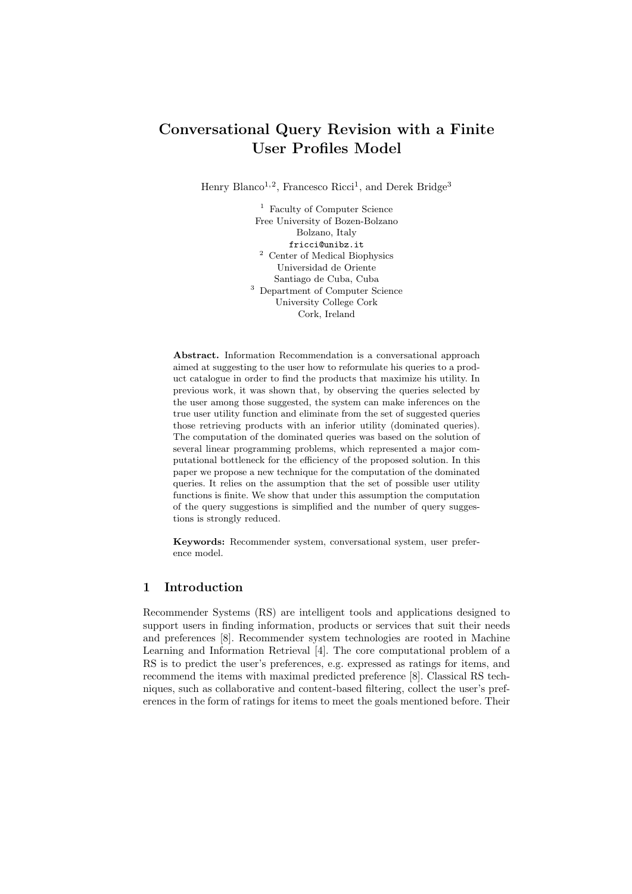# Conversational Query Revision with a Finite User Profiles Model

Henry Blanco<sup>1,2</sup>, Francesco Ricci<sup>1</sup>, and Derek Bridge<sup>3</sup>

<sup>1</sup> Faculty of Computer Science Free University of Bozen-Bolzano Bolzano, Italy fricci@unibz.it <sup>2</sup> Center of Medical Biophysics Universidad de Oriente Santiago de Cuba, Cuba <sup>3</sup> Department of Computer Science University College Cork Cork, Ireland

Abstract. Information Recommendation is a conversational approach aimed at suggesting to the user how to reformulate his queries to a product catalogue in order to find the products that maximize his utility. In previous work, it was shown that, by observing the queries selected by the user among those suggested, the system can make inferences on the true user utility function and eliminate from the set of suggested queries those retrieving products with an inferior utility (dominated queries). The computation of the dominated queries was based on the solution of several linear programming problems, which represented a major computational bottleneck for the efficiency of the proposed solution. In this paper we propose a new technique for the computation of the dominated queries. It relies on the assumption that the set of possible user utility functions is finite. We show that under this assumption the computation of the query suggestions is simplified and the number of query suggestions is strongly reduced.

Keywords: Recommender system, conversational system, user preference model.

# 1 Introduction

Recommender Systems (RS) are intelligent tools and applications designed to support users in finding information, products or services that suit their needs and preferences [8]. Recommender system technologies are rooted in Machine Learning and Information Retrieval [4]. The core computational problem of a RS is to predict the user's preferences, e.g. expressed as ratings for items, and recommend the items with maximal predicted preference [8]. Classical RS techniques, such as collaborative and content-based filtering, collect the user's preferences in the form of ratings for items to meet the goals mentioned before. Their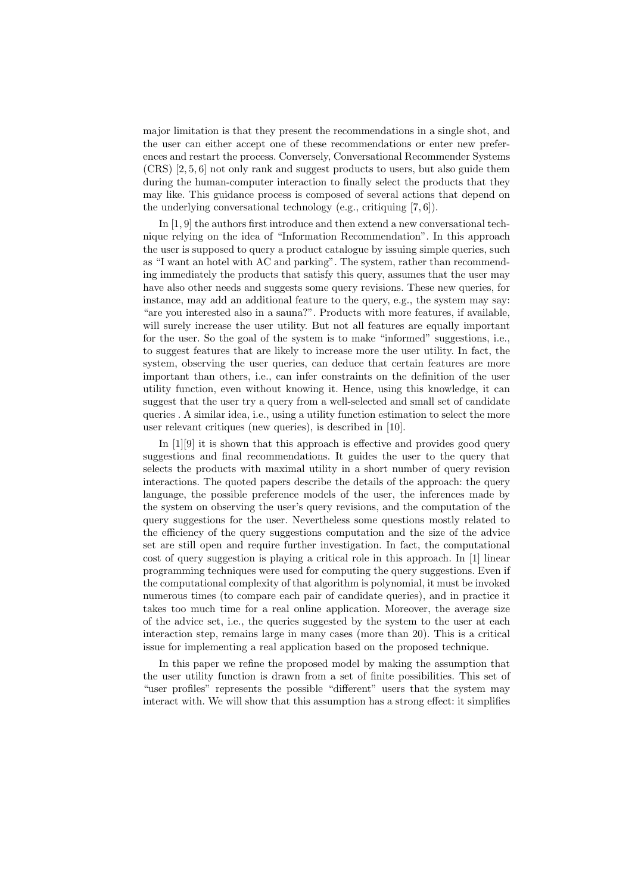major limitation is that they present the recommendations in a single shot, and the user can either accept one of these recommendations or enter new preferences and restart the process. Conversely, Conversational Recommender Systems (CRS) [2, 5, 6] not only rank and suggest products to users, but also guide them during the human-computer interaction to finally select the products that they may like. This guidance process is composed of several actions that depend on the underlying conversational technology (e.g., critiquing [7, 6]).

In [1, 9] the authors first introduce and then extend a new conversational technique relying on the idea of "Information Recommendation". In this approach the user is supposed to query a product catalogue by issuing simple queries, such as "I want an hotel with AC and parking". The system, rather than recommending immediately the products that satisfy this query, assumes that the user may have also other needs and suggests some query revisions. These new queries, for instance, may add an additional feature to the query, e.g., the system may say: "are you interested also in a sauna?". Products with more features, if available, will surely increase the user utility. But not all features are equally important for the user. So the goal of the system is to make "informed" suggestions, i.e., to suggest features that are likely to increase more the user utility. In fact, the system, observing the user queries, can deduce that certain features are more important than others, i.e., can infer constraints on the definition of the user utility function, even without knowing it. Hence, using this knowledge, it can suggest that the user try a query from a well-selected and small set of candidate queries . A similar idea, i.e., using a utility function estimation to select the more user relevant critiques (new queries), is described in [10].

In [1][9] it is shown that this approach is effective and provides good query suggestions and final recommendations. It guides the user to the query that selects the products with maximal utility in a short number of query revision interactions. The quoted papers describe the details of the approach: the query language, the possible preference models of the user, the inferences made by the system on observing the user's query revisions, and the computation of the query suggestions for the user. Nevertheless some questions mostly related to the efficiency of the query suggestions computation and the size of the advice set are still open and require further investigation. In fact, the computational cost of query suggestion is playing a critical role in this approach. In [1] linear programming techniques were used for computing the query suggestions. Even if the computational complexity of that algorithm is polynomial, it must be invoked numerous times (to compare each pair of candidate queries), and in practice it takes too much time for a real online application. Moreover, the average size of the advice set, i.e., the queries suggested by the system to the user at each interaction step, remains large in many cases (more than 20). This is a critical issue for implementing a real application based on the proposed technique.

In this paper we refine the proposed model by making the assumption that the user utility function is drawn from a set of finite possibilities. This set of "user profiles" represents the possible "different" users that the system may interact with. We will show that this assumption has a strong effect: it simplifies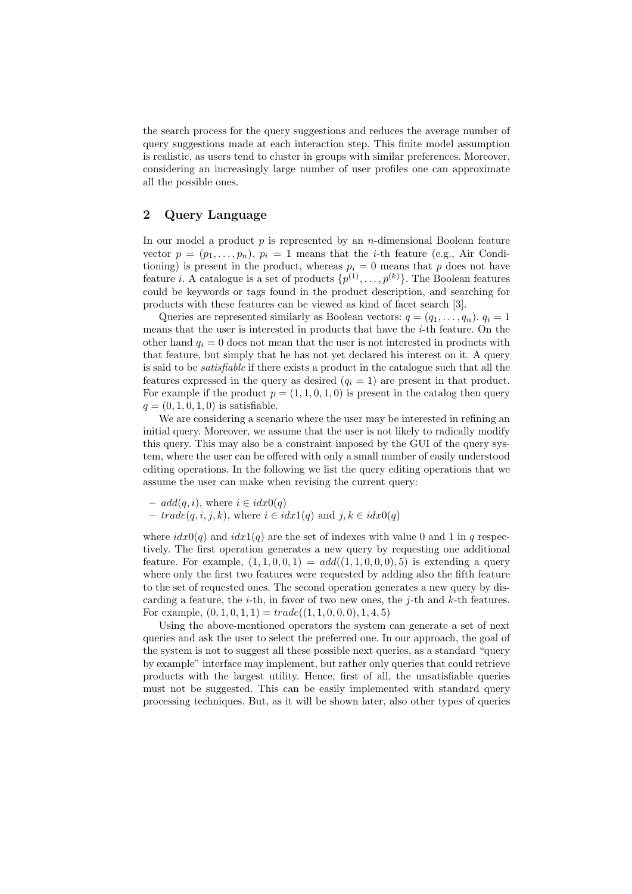the search process for the query suggestions and reduces the average number of query suggestions made at each interaction step. This finite model assumption is realistic, as users tend to cluster in groups with similar preferences. Moreover, considering an increasingly large number of user profiles one can approximate all the possible ones.

# 2 Query Language

In our model a product  $p$  is represented by an *n*-dimensional Boolean feature vector  $p = (p_1, \ldots, p_n)$ .  $p_i = 1$  means that the *i*-th feature (e.g., Air Conditioning) is present in the product, whereas  $p_i = 0$  means that p does not have feature *i*. A catalogue is a set of products  $\{p^{(1)}, \ldots, p^{(k)}\}$ . The Boolean features could be keywords or tags found in the product description, and searching for products with these features can be viewed as kind of facet search [3].

Queries are represented similarly as Boolean vectors:  $q = (q_1, \ldots, q_n)$ .  $q_i = 1$ means that the user is interested in products that have the  $i$ -th feature. On the other hand  $q_i = 0$  does not mean that the user is not interested in products with that feature, but simply that he has not yet declared his interest on it. A query is said to be satisfiable if there exists a product in the catalogue such that all the features expressed in the query as desired  $(q<sub>i</sub> = 1)$  are present in that product. For example if the product  $p = (1, 1, 0, 1, 0)$  is present in the catalog then query  $q = (0, 1, 0, 1, 0)$  is satisfiable.

We are considering a scenario where the user may be interested in refining an initial query. Moreover, we assume that the user is not likely to radically modify this query. This may also be a constraint imposed by the GUI of the query system, where the user can be offered with only a small number of easily understood editing operations. In the following we list the query editing operations that we assume the user can make when revising the current query:

- $add(q, i)$ , where  $i \in idx0(q)$
- $-$  trade(q, i, j, k), where  $i \in i dx1(q)$  and  $j, k \in i dx0(q)$

where  $i dx 0(q)$  and  $i dx 1(q)$  are the set of indexes with value 0 and 1 in q respectively. The first operation generates a new query by requesting one additional feature. For example,  $(1, 1, 0, 0, 1) = add((1, 1, 0, 0, 0), 5)$  is extending a query where only the first two features were requested by adding also the fifth feature to the set of requested ones. The second operation generates a new query by discarding a feature, the *i*-th, in favor of two new ones, the *j*-th and  $k$ -th features. For example,  $(0, 1, 0, 1, 1) = trade((1, 1, 0, 0, 0), 1, 4, 5)$ 

Using the above-mentioned operators the system can generate a set of next queries and ask the user to select the preferred one. In our approach, the goal of the system is not to suggest all these possible next queries, as a standard "query by example" interface may implement, but rather only queries that could retrieve products with the largest utility. Hence, first of all, the unsatisfiable queries must not be suggested. This can be easily implemented with standard query processing techniques. But, as it will be shown later, also other types of queries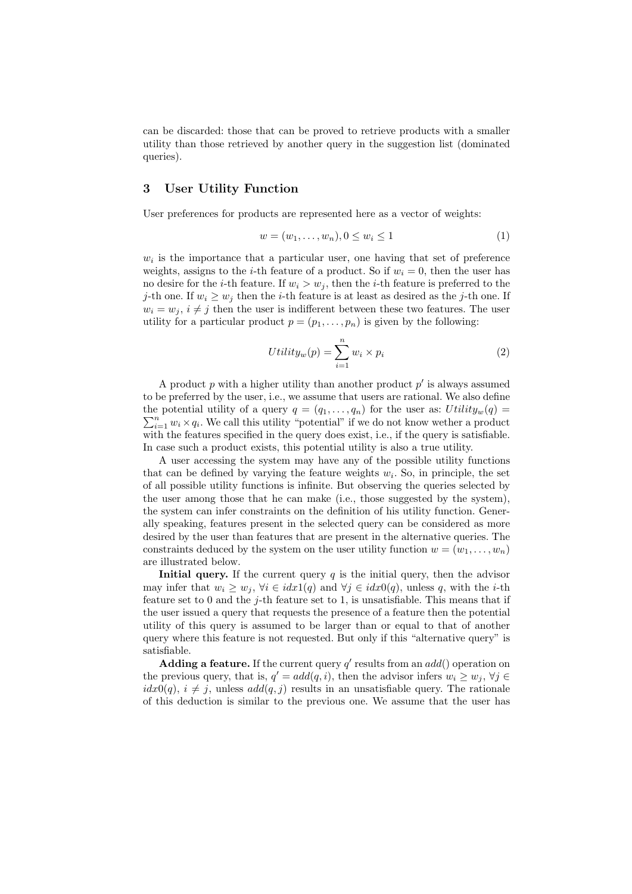can be discarded: those that can be proved to retrieve products with a smaller utility than those retrieved by another query in the suggestion list (dominated queries).

# 3 User Utility Function

User preferences for products are represented here as a vector of weights:

$$
w = (w_1, \dots, w_n), 0 \le w_i \le 1
$$
\n(1)

 $w_i$  is the importance that a particular user, one having that set of preference weights, assigns to the *i*-th feature of a product. So if  $w_i = 0$ , then the user has no desire for the *i*-th feature. If  $w_i > w_j$ , then the *i*-th feature is preferred to the j-th one. If  $w_i \geq w_j$  then the *i*-th feature is at least as desired as the j-th one. If  $w_i = w_j, i \neq j$  then the user is indifferent between these two features. The user utility for a particular product  $p = (p_1, \ldots, p_n)$  is given by the following:

$$
Utility_w(p) = \sum_{i=1}^n w_i \times p_i
$$
\n(2)

A product  $p$  with a higher utility than another product  $p'$  is always assumed to be preferred by the user, i.e., we assume that users are rational. We also define the potential utility of a query  $q = (q_1, \ldots, q_n)$  for the user as:  $Utility_w(q) =$  $\sum_{i=1}^{n} w_i \times q_i$ . We call this utility "potential" if we do not know wether a product with the features specified in the query does exist, i.e., if the query is satisfiable. In case such a product exists, this potential utility is also a true utility.

A user accessing the system may have any of the possible utility functions that can be defined by varying the feature weights  $w_i$ . So, in principle, the set of all possible utility functions is infinite. But observing the queries selected by the user among those that he can make (i.e., those suggested by the system), the system can infer constraints on the definition of his utility function. Generally speaking, features present in the selected query can be considered as more desired by the user than features that are present in the alternative queries. The constraints deduced by the system on the user utility function  $w = (w_1, \ldots, w_n)$ are illustrated below.

**Initial query.** If the current query  $q$  is the initial query, then the advisor may infer that  $w_i \geq w_j$ ,  $\forall i \in i dx1(q)$  and  $\forall j \in i dx0(q)$ , unless q, with the *i*-th feature set to 0 and the  $j$ -th feature set to 1, is unsatisfiable. This means that if the user issued a query that requests the presence of a feature then the potential utility of this query is assumed to be larger than or equal to that of another query where this feature is not requested. But only if this "alternative query" is satisfiable.

Adding a feature. If the current query  $q'$  results from an  $add()$  operation on the previous query, that is,  $q' = add(q, i)$ , then the advisor infers  $w_i \geq w_j$ ,  $\forall j \in$  $idx0(q)$ ,  $i \neq j$ , unless  $add(q, j)$  results in an unsatisfiable query. The rationale of this deduction is similar to the previous one. We assume that the user has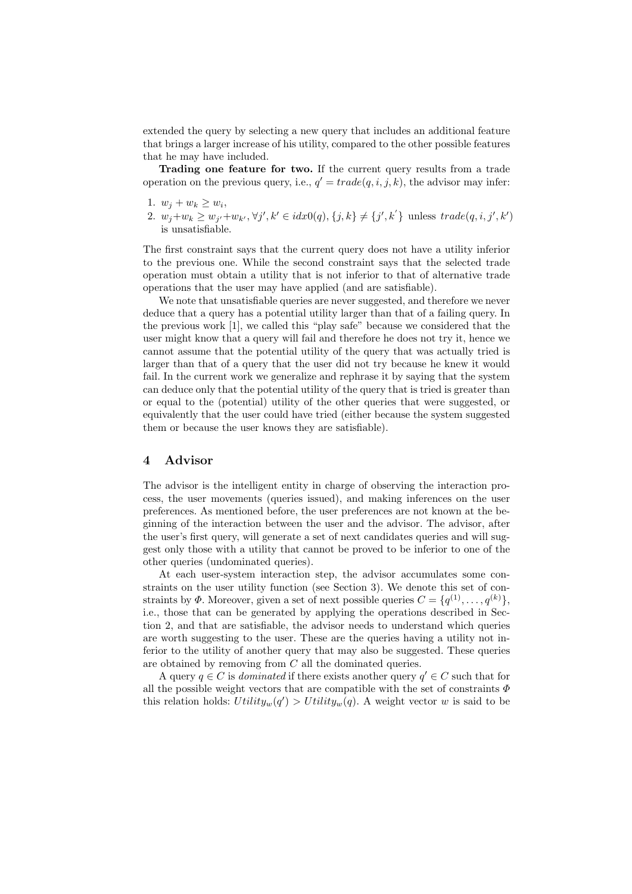extended the query by selecting a new query that includes an additional feature that brings a larger increase of his utility, compared to the other possible features that he may have included.

Trading one feature for two. If the current query results from a trade operation on the previous query, i.e.,  $q' = trade(q, i, j, k)$ , the advisor may infer:

- 1.  $w_j + w_k \geq w_i$ ,
- 2.  $w_j + w_k \geq w_{j'} + w_{k'}, \forall j', k' \in idx0(q), \{j, k\} \neq \{j', k'\}$  unless  $trade(q, i, j', k')$ is unsatisfiable.

The first constraint says that the current query does not have a utility inferior to the previous one. While the second constraint says that the selected trade operation must obtain a utility that is not inferior to that of alternative trade operations that the user may have applied (and are satisfiable).

We note that unsatisfiable queries are never suggested, and therefore we never deduce that a query has a potential utility larger than that of a failing query. In the previous work [1], we called this "play safe" because we considered that the user might know that a query will fail and therefore he does not try it, hence we cannot assume that the potential utility of the query that was actually tried is larger than that of a query that the user did not try because he knew it would fail. In the current work we generalize and rephrase it by saying that the system can deduce only that the potential utility of the query that is tried is greater than or equal to the (potential) utility of the other queries that were suggested, or equivalently that the user could have tried (either because the system suggested them or because the user knows they are satisfiable).

# 4 Advisor

The advisor is the intelligent entity in charge of observing the interaction process, the user movements (queries issued), and making inferences on the user preferences. As mentioned before, the user preferences are not known at the beginning of the interaction between the user and the advisor. The advisor, after the user's first query, will generate a set of next candidates queries and will suggest only those with a utility that cannot be proved to be inferior to one of the other queries (undominated queries).

At each user-system interaction step, the advisor accumulates some constraints on the user utility function (see Section 3). We denote this set of constraints by  $\Phi$ . Moreover, given a set of next possible queries  $C = \{q^{(1)}, \ldots, q^{(k)}\},$ i.e., those that can be generated by applying the operations described in Section 2, and that are satisfiable, the advisor needs to understand which queries are worth suggesting to the user. These are the queries having a utility not inferior to the utility of another query that may also be suggested. These queries are obtained by removing from C all the dominated queries.

A query  $q \in C$  is *dominated* if there exists another query  $q' \in C$  such that for all the possible weight vectors that are compatible with the set of constraints  $\Phi$ this relation holds:  $Utility_w(q') > Utility_w(q)$ . A weight vector w is said to be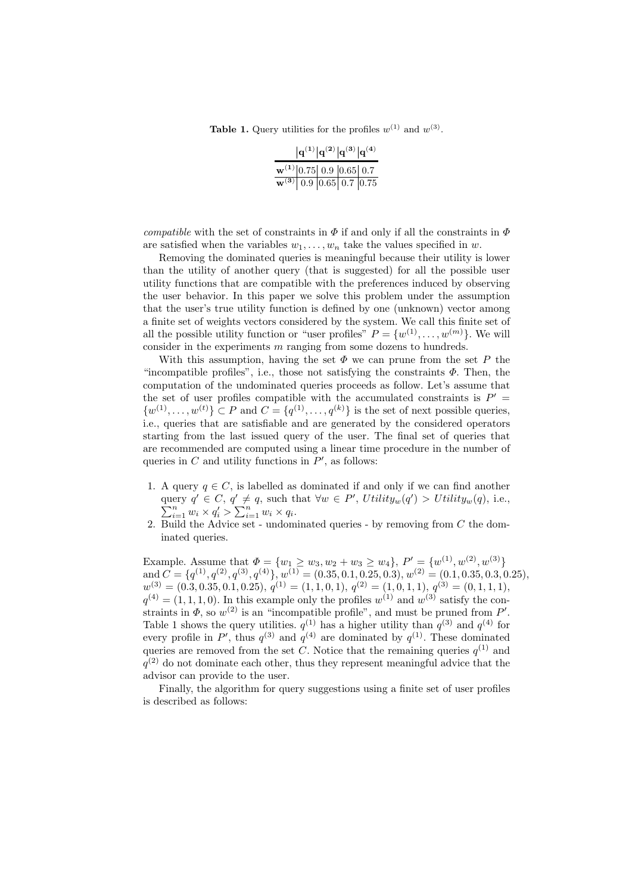**Table 1.** Query utilities for the profiles  $w^{(1)}$  and  $w^{(3)}$ .

|                                                                                                                                    | $ {\bf q}^{(1)} {\bf q}^{(2)} {\bf q}^{(3)} {\bf q}^{(4)}$ |  |
|------------------------------------------------------------------------------------------------------------------------------------|------------------------------------------------------------|--|
| $\frac{\mathbf{w}^{(1)}\left 0.75\right ~0.9~\left 0.65\right ~0.7}{\mathbf{w}^{(3)}\left ~0.9~\right 0.65~0.7~\left 0.75\right }$ |                                                            |  |
|                                                                                                                                    |                                                            |  |

compatible with the set of constraints in  $\Phi$  if and only if all the constraints in  $\Phi$ are satisfied when the variables  $w_1, \ldots, w_n$  take the values specified in w.

Removing the dominated queries is meaningful because their utility is lower than the utility of another query (that is suggested) for all the possible user utility functions that are compatible with the preferences induced by observing the user behavior. In this paper we solve this problem under the assumption that the user's true utility function is defined by one (unknown) vector among a finite set of weights vectors considered by the system. We call this finite set of all the possible utility function or "user profiles"  $P = \{w^{(1)}, \ldots, w^{(m)}\}$ . We will consider in the experiments  $m$  ranging from some dozens to hundreds.

With this assumption, having the set  $\Phi$  we can prune from the set P the "incompatible profiles", i.e., those not satisfying the constraints  $\Phi$ . Then, the computation of the undominated queries proceeds as follow. Let's assume that the set of user profiles compatible with the accumulated constraints is  $P' =$  $\{w^{(1)}, \ldots, w^{(t)}\} \subset P$  and  $C = \{q^{(1)}, \ldots, q^{(k)}\}$  is the set of next possible queries, i.e., queries that are satisfiable and are generated by the considered operators starting from the last issued query of the user. The final set of queries that are recommended are computed using a linear time procedure in the number of queries in  $C$  and utility functions in  $P'$ , as follows:

- 1. A query  $q \in C$ , is labelled as dominated if and only if we can find another query  $q' \in C, q' \neq q$ , such that  $\forall w \in P'$ , Utility<sub>w</sub> $(q'$ P ery  $q' \in C$ ,  $q' \neq q$ , such that  $\forall w \in P'$ ,  $Utility_w(q') > Utility_w(q)$ , i.e.,  $\sum_{i=1}^n w_i \times q'_i > \sum_{i=1}^n w_i \times q_i$ .
- 2. Build the Advice set undominated queries by removing from  $C$  the dominated queries.

Example. Assume that  $\Phi = \{w_1 \ge w_3, w_2 + w_3 \ge w_4\}, P' = \{w^{(1)}, w^{(2)}, w^{(3)}\}$ and  $C = \{q^{(1)}, q^{(2)}, q^{(3)}, q^{(4)}\}, w^{(1)} = (0.35, 0.1, 0.25, 0.3), w^{(2)} = (0.1, 0.35, 0.3, 0.25),$  $w^{(3)} = (0.3, 0.35, 0.1, 0.25), q^{(1)} = (1, 1, 0, 1), q^{(2)} = (1, 0, 1, 1), q^{(3)} = (0, 1, 1, 1),$  $q^{(4)} = (1, 1, 1, 0)$ . In this example only the profiles  $w^{(1)}$  and  $w^{(3)}$  satisfy the constraints in  $\Phi$ , so  $w^{(2)}$  is an "incompatible profile", and must be pruned from P'. Table 1 shows the query utilities.  $q^{(1)}$  has a higher utility than  $q^{(3)}$  and  $q^{(4)}$  for every profile in P', thus  $q^{(3)}$  and  $q^{(4)}$  are dominated by  $q^{(1)}$ . These dominated queries are removed from the set C. Notice that the remaining queries  $q^{(1)}$  and  $q^{(2)}$  do not dominate each other, thus they represent meaningful advice that the advisor can provide to the user.

Finally, the algorithm for query suggestions using a finite set of user profiles is described as follows: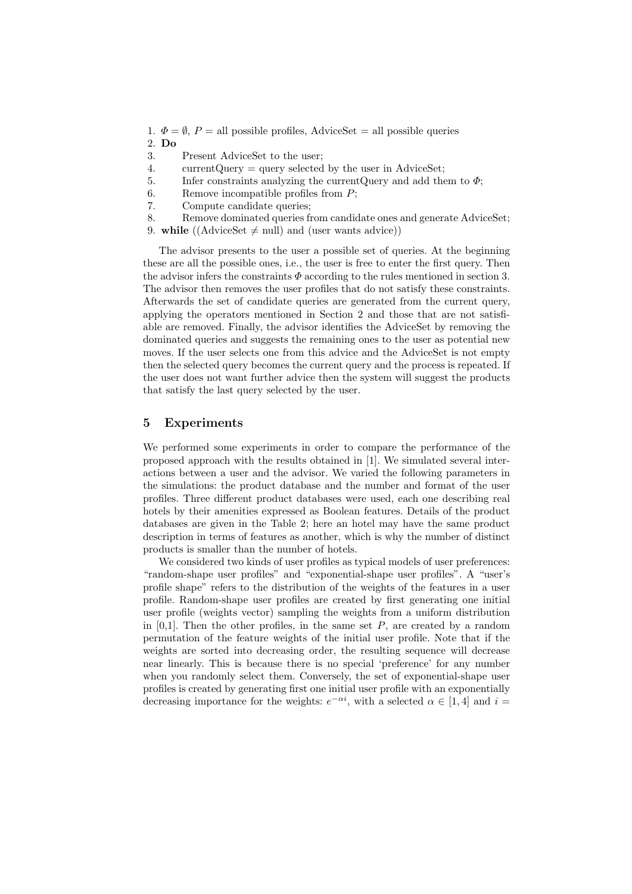- 1.  $\Phi = \emptyset$ ,  $P =$  all possible profiles, AdviceSet = all possible queries
- 2. Do
- 3. Present AdviceSet to the user;
- 4. currentQuery = query selected by the user in AdviceSet;
- 5. Infer constraints analyzing the current Query and add them to  $\Phi$ ;
- 6. Remove incompatible profiles from P;
- 7. Compute candidate queries;
- 8. Remove dominated queries from candidate ones and generate AdviceSet;
- 9. while ((AdviceSet  $\neq$  null) and (user wants advice))

The advisor presents to the user a possible set of queries. At the beginning these are all the possible ones, i.e., the user is free to enter the first query. Then the advisor infers the constraints  $\Phi$  according to the rules mentioned in section 3. The advisor then removes the user profiles that do not satisfy these constraints. Afterwards the set of candidate queries are generated from the current query, applying the operators mentioned in Section 2 and those that are not satisfiable are removed. Finally, the advisor identifies the AdviceSet by removing the dominated queries and suggests the remaining ones to the user as potential new moves. If the user selects one from this advice and the AdviceSet is not empty then the selected query becomes the current query and the process is repeated. If the user does not want further advice then the system will suggest the products that satisfy the last query selected by the user.

# 5 Experiments

We performed some experiments in order to compare the performance of the proposed approach with the results obtained in [1]. We simulated several interactions between a user and the advisor. We varied the following parameters in the simulations: the product database and the number and format of the user profiles. Three different product databases were used, each one describing real hotels by their amenities expressed as Boolean features. Details of the product databases are given in the Table 2; here an hotel may have the same product description in terms of features as another, which is why the number of distinct products is smaller than the number of hotels.

We considered two kinds of user profiles as typical models of user preferences: "random-shape user profiles" and "exponential-shape user profiles". A "user's profile shape" refers to the distribution of the weights of the features in a user profile. Random-shape user profiles are created by first generating one initial user profile (weights vector) sampling the weights from a uniform distribution in  $[0,1]$ . Then the other profiles, in the same set P, are created by a random permutation of the feature weights of the initial user profile. Note that if the weights are sorted into decreasing order, the resulting sequence will decrease near linearly. This is because there is no special 'preference' for any number when you randomly select them. Conversely, the set of exponential-shape user profiles is created by generating first one initial user profile with an exponentially decreasing importance for the weights:  $e^{-\alpha i}$ , with a selected  $\alpha \in [1, 4]$  and  $i =$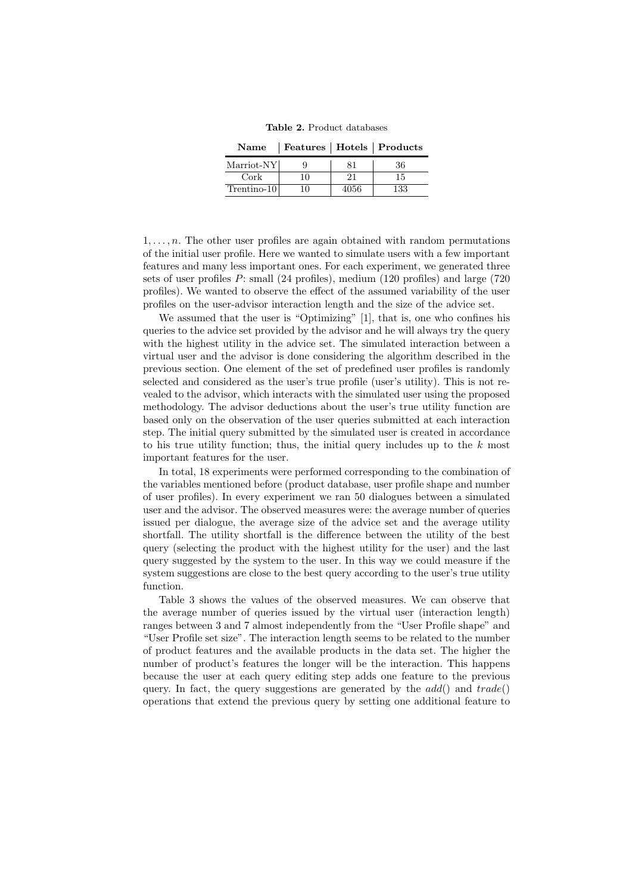Table 2. Product databases

Name | Features | Hotels | Products

| Marriot-NY    |     |     |
|---------------|-----|-----|
| $\rm{Cork}$   |     |     |
| $Trentino-10$ | ነ56 | 133 |

 $1, \ldots, n$ . The other user profiles are again obtained with random permutations of the initial user profile. Here we wanted to simulate users with a few important features and many less important ones. For each experiment, we generated three sets of user profiles P: small (24 profiles), medium (120 profiles) and large (720 profiles). We wanted to observe the effect of the assumed variability of the user profiles on the user-advisor interaction length and the size of the advice set.

We assumed that the user is "Optimizing" [1], that is, one who confines his queries to the advice set provided by the advisor and he will always try the query with the highest utility in the advice set. The simulated interaction between a virtual user and the advisor is done considering the algorithm described in the previous section. One element of the set of predefined user profiles is randomly selected and considered as the user's true profile (user's utility). This is not revealed to the advisor, which interacts with the simulated user using the proposed methodology. The advisor deductions about the user's true utility function are based only on the observation of the user queries submitted at each interaction step. The initial query submitted by the simulated user is created in accordance to his true utility function; thus, the initial query includes up to the  $k$  most important features for the user.

In total, 18 experiments were performed corresponding to the combination of the variables mentioned before (product database, user profile shape and number of user profiles). In every experiment we ran 50 dialogues between a simulated user and the advisor. The observed measures were: the average number of queries issued per dialogue, the average size of the advice set and the average utility shortfall. The utility shortfall is the difference between the utility of the best query (selecting the product with the highest utility for the user) and the last query suggested by the system to the user. In this way we could measure if the system suggestions are close to the best query according to the user's true utility function.

Table 3 shows the values of the observed measures. We can observe that the average number of queries issued by the virtual user (interaction length) ranges between 3 and 7 almost independently from the "User Profile shape" and "User Profile set size". The interaction length seems to be related to the number of product features and the available products in the data set. The higher the number of product's features the longer will be the interaction. This happens because the user at each query editing step adds one feature to the previous query. In fact, the query suggestions are generated by the  $add()$  and  $trade()$ operations that extend the previous query by setting one additional feature to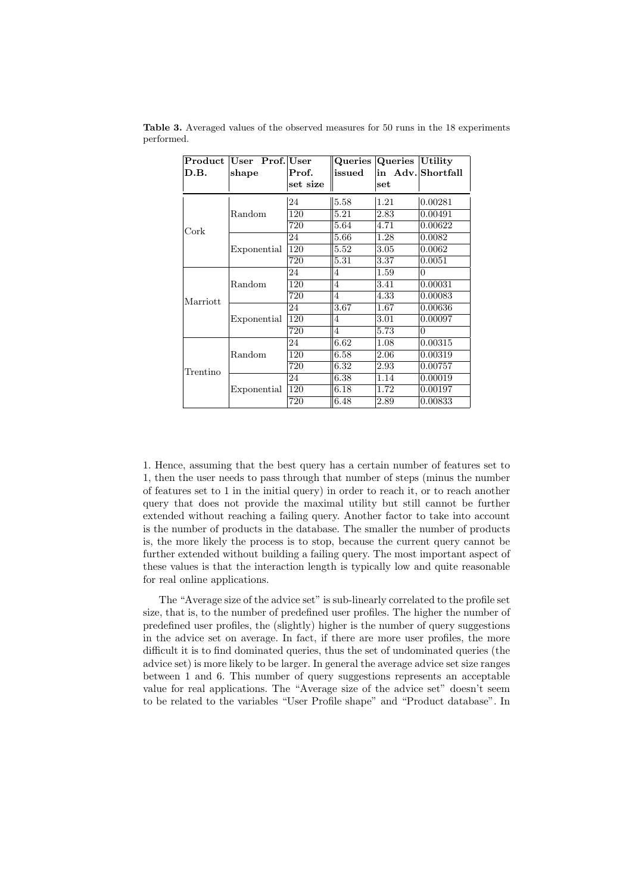| Product<br>D.B. | User Prof. User<br>shape | Prof.<br>set size | issued | Queries Queries<br>set | Utility <br>in Adv. Shortfall |
|-----------------|--------------------------|-------------------|--------|------------------------|-------------------------------|
| Cork            | Random                   | 24                | 5.58   | 1.21                   | 0.00281                       |
|                 |                          | 120               | 5.21   | 2.83                   | 0.00491                       |
|                 |                          | 720               | 5.64   | 4.71                   | 0.00622                       |
|                 | Exponential              | 24                | 5.66   | 1.28                   | 0.0082                        |
|                 |                          | 120               | 5.52   | 3.05                   | 0.0062                        |
|                 |                          | 720               | 5.31   | 3.37                   | 0.0051                        |
| Marriott        | Random                   | 24                | 4      | 1.59                   | $\theta$                      |
|                 |                          | 120               | 4      | 3.41                   | 0.00031                       |
|                 |                          | 720               | 4      | 4.33                   | 0.00083                       |
|                 | Exponential              | 24                | 3.67   | 1.67                   | 0.00636                       |
|                 |                          | 120               | 4      | 3.01                   | 0.00097                       |
|                 |                          | 720               | 4      | 5.73                   | $\theta$                      |
| Trentino        | Random                   | 24                | 6.62   | 1.08                   | 0.00315                       |
|                 |                          | 120               | 6.58   | 2.06                   | 0.00319                       |
|                 |                          | 720               | 6.32   | 2.93                   | 0.00757                       |
|                 | Exponential              | 24                | 6.38   | 1.14                   | 0.00019                       |
|                 |                          | 120               | 6.18   | 1.72                   | 0.00197                       |
|                 |                          | 720               | 6.48   | 2.89                   | 0.00833                       |

Table 3. Averaged values of the observed measures for 50 runs in the 18 experiments performed.

1. Hence, assuming that the best query has a certain number of features set to 1, then the user needs to pass through that number of steps (minus the number of features set to 1 in the initial query) in order to reach it, or to reach another query that does not provide the maximal utility but still cannot be further extended without reaching a failing query. Another factor to take into account is the number of products in the database. The smaller the number of products is, the more likely the process is to stop, because the current query cannot be further extended without building a failing query. The most important aspect of these values is that the interaction length is typically low and quite reasonable for real online applications.

The "Average size of the advice set" is sub-linearly correlated to the profile set size, that is, to the number of predefined user profiles. The higher the number of predefined user profiles, the (slightly) higher is the number of query suggestions in the advice set on average. In fact, if there are more user profiles, the more difficult it is to find dominated queries, thus the set of undominated queries (the advice set) is more likely to be larger. In general the average advice set size ranges between 1 and 6. This number of query suggestions represents an acceptable value for real applications. The "Average size of the advice set" doesn't seem to be related to the variables "User Profile shape" and "Product database". In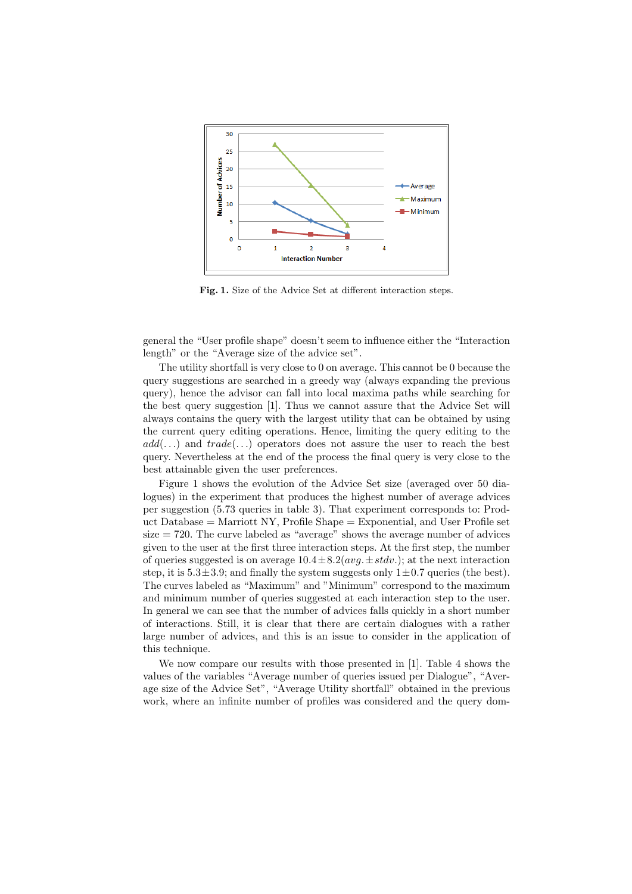

Fig. 1. Size of the Advice Set at different interaction steps.

general the "User profile shape" doesn't seem to influence either the "Interaction length" or the "Average size of the advice set".

The utility shortfall is very close to 0 on average. This cannot be 0 because the query suggestions are searched in a greedy way (always expanding the previous query), hence the advisor can fall into local maxima paths while searching for the best query suggestion [1]. Thus we cannot assure that the Advice Set will always contains the query with the largest utility that can be obtained by using the current query editing operations. Hence, limiting the query editing to the  $add(...)$  and  $trade(...)$  operators does not assure the user to reach the best query. Nevertheless at the end of the process the final query is very close to the best attainable given the user preferences.

Figure 1 shows the evolution of the Advice Set size (averaged over 50 dialogues) in the experiment that produces the highest number of average advices per suggestion (5.73 queries in table 3). That experiment corresponds to: Product Database  $=$  Marriott NY, Profile Shape  $=$  Exponential, and User Profile set  $size = 720$ . The curve labeled as "average" shows the average number of advices given to the user at the first three interaction steps. At the first step, the number of queries suggested is on average  $10.4 \pm 8.2 (avg. \pm stdv.)$ ; at the next interaction step, it is  $5.3\pm3.9$ ; and finally the system suggests only  $1\pm0.7$  queries (the best). The curves labeled as "Maximum" and "Minimum" correspond to the maximum and minimum number of queries suggested at each interaction step to the user. In general we can see that the number of advices falls quickly in a short number of interactions. Still, it is clear that there are certain dialogues with a rather large number of advices, and this is an issue to consider in the application of this technique.

We now compare our results with those presented in [1]. Table 4 shows the values of the variables "Average number of queries issued per Dialogue", "Average size of the Advice Set", "Average Utility shortfall" obtained in the previous work, where an infinite number of profiles was considered and the query dom-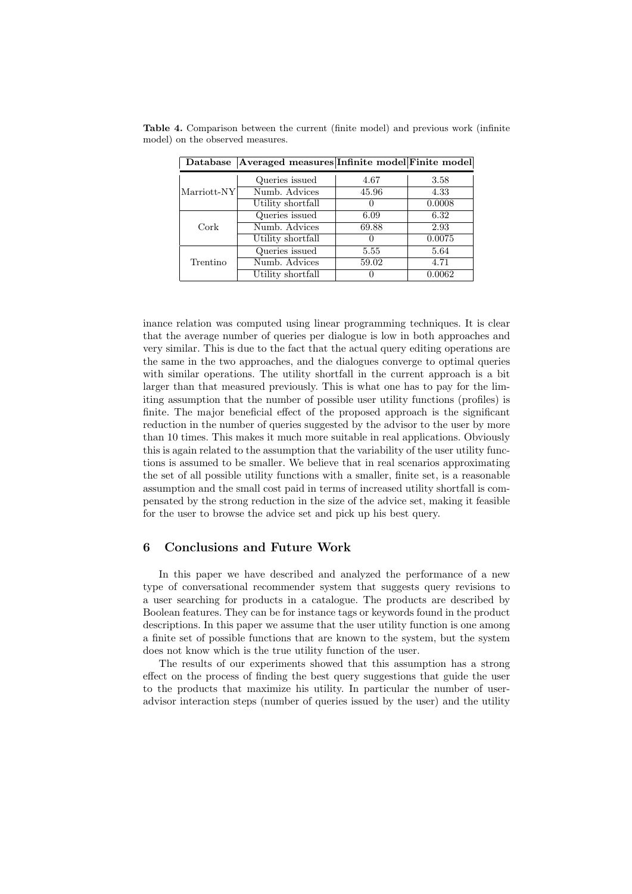Table 4. Comparison between the current (finite model) and previous work (infinite model) on the observed measures.

| Marriott-NY | Queries issued    | 4.67  | 3.58   |
|-------------|-------------------|-------|--------|
|             | Numb. Advices     | 45.96 | 4.33   |
|             | Utility shortfall |       | 0.0008 |
| Cork        | Queries issued    | 6.09  | 6.32   |
|             | Numb. Advices     | 69.88 | 2.93   |
|             | Utility shortfall |       | 0.0075 |
| Trentino    | Queries issued    | 5.55  | 5.64   |
|             | Numb. Advices     | 59.02 | 4.71   |
|             | Utility shortfall |       | 0.0062 |

Database Averaged measures Infinite model Finite model

inance relation was computed using linear programming techniques. It is clear that the average number of queries per dialogue is low in both approaches and very similar. This is due to the fact that the actual query editing operations are the same in the two approaches, and the dialogues converge to optimal queries with similar operations. The utility shortfall in the current approach is a bit larger than that measured previously. This is what one has to pay for the limiting assumption that the number of possible user utility functions (profiles) is finite. The major beneficial effect of the proposed approach is the significant reduction in the number of queries suggested by the advisor to the user by more than 10 times. This makes it much more suitable in real applications. Obviously this is again related to the assumption that the variability of the user utility functions is assumed to be smaller. We believe that in real scenarios approximating the set of all possible utility functions with a smaller, finite set, is a reasonable assumption and the small cost paid in terms of increased utility shortfall is compensated by the strong reduction in the size of the advice set, making it feasible for the user to browse the advice set and pick up his best query.

# 6 Conclusions and Future Work

In this paper we have described and analyzed the performance of a new type of conversational recommender system that suggests query revisions to a user searching for products in a catalogue. The products are described by Boolean features. They can be for instance tags or keywords found in the product descriptions. In this paper we assume that the user utility function is one among a finite set of possible functions that are known to the system, but the system does not know which is the true utility function of the user.

The results of our experiments showed that this assumption has a strong effect on the process of finding the best query suggestions that guide the user to the products that maximize his utility. In particular the number of useradvisor interaction steps (number of queries issued by the user) and the utility